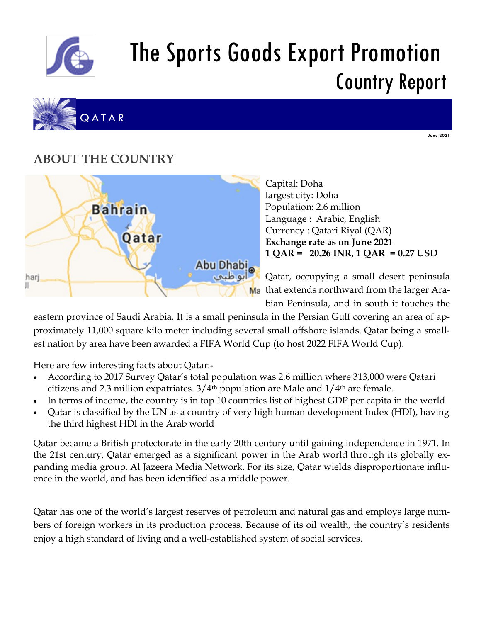

# The Sports Goods Export Promotion Country Report



**June 2021**

# **ABOUT THE COUNTRY**



Capital: Doha largest city: Doha Population: 2.6 million Language : Arabic, English Currency : Qatari Riyal (QAR) **Exchange rate as on June 2021 1 QAR = 20.26 INR, 1 QAR = 0.27 USD** 

Qatar, occupying a small desert peninsula M<sub>a</sub> that extends northward from the larger Arabian Peninsula, and in south it touches the

eastern province of Saudi Arabia. It is a small peninsula in the Persian Gulf covering an area of approximately 11,000 square kilo meter including several small offshore islands. Qatar being a smallest nation by area have been awarded a FIFA World Cup (to host 2022 FIFA World Cup).

Here are few interesting facts about Qatar:-

- According to 2017 Survey Qatar's total population was 2.6 million where 313,000 were Qatari citizens and 2.3 million expatriates.  $3/4$ <sup>th</sup> population are Male and  $1/4$ <sup>th</sup> are female.
- In terms of income, the country is in top 10 countries list of highest GDP per capita in the world
- Qatar is classified by the UN as a country of very high human development Index (HDI), having the third highest HDI in the Arab world

Qatar became a British protectorate in the early 20th century until gaining independence in 1971. In the 21st century, Qatar emerged as a significant power in the Arab world through its globally expanding media group, Al Jazeera Media Network. For its size, Qatar wields disproportionate influence in the world, and has been identified as a middle power.

Qatar has one of the world's largest reserves of petroleum and natural gas and employs large numbers of foreign workers in its production process. Because of its oil wealth, the country's residents enjoy a high standard of living and a well-established system of social services.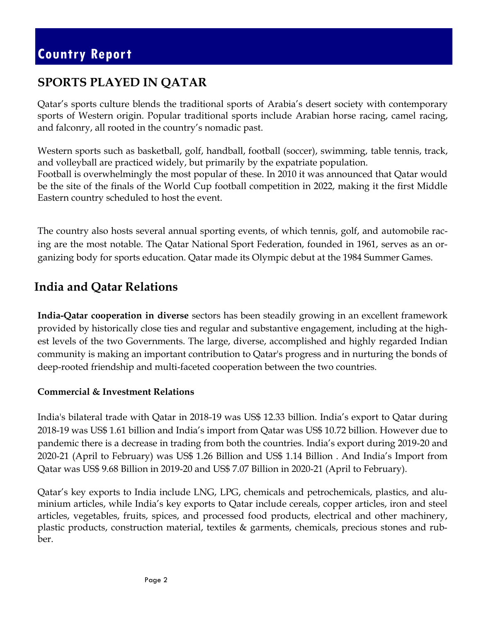### **SPORTS PLAYED IN QATAR**

Qatar's sports culture blends the traditional sports of Arabia's desert society with contemporary sports of Western origin. Popular traditional sports include Arabian horse racing, camel racing, and falconry, all rooted in the country's nomadic past.

Western sports such as basketball, golf, handball, football (soccer), swimming, table tennis, track, and volleyball are practiced widely, but primarily by the expatriate population. Football is overwhelmingly the most popular of these. In 2010 it was announced that Qatar would be the site of the finals of the World Cup football competition in 2022, making it the first Middle Eastern country scheduled to host the event.

The country also hosts several annual sporting events, of which tennis, golf, and automobile racing are the most notable. The Qatar National Sport Federation, founded in 1961, serves as an organizing body for sports education. Qatar made its Olympic debut at the 1984 Summer Games.

### **India and Qatar Relations**

**India-Qatar cooperation in diverse** sectors has been steadily growing in an excellent framework provided by historically close ties and regular and substantive engagement, including at the highest levels of the two Governments. The large, diverse, accomplished and highly regarded Indian community is making an important contribution to Qatar's progress and in nurturing the bonds of deep-rooted friendship and multi-faceted cooperation between the two countries.

#### **Commercial & Investment Relations**

India's bilateral trade with Qatar in 2018-19 was US\$ 12.33 billion. India's export to Qatar during 2018-19 was US\$ 1.61 billion and India's import from Qatar was US\$ 10.72 billion. However due to pandemic there is a decrease in trading from both the countries. India's export during 2019-20 and 2020-21 (April to February) was US\$ 1.26 Billion and US\$ 1.14 Billion . And India's Import from Qatar was US\$ 9.68 Billion in 2019-20 and US\$ 7.07 Billion in 2020-21 (April to February).

Qatar's key exports to India include LNG, LPG, chemicals and petrochemicals, plastics, and aluminium articles, while India's key exports to Qatar include cereals, copper articles, iron and steel articles, vegetables, fruits, spices, and processed food products, electrical and other machinery, plastic products, construction material, textiles & garments, chemicals, precious stones and rubber.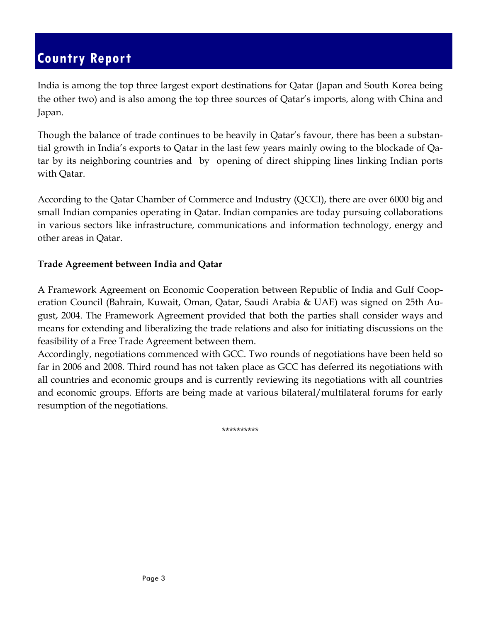India is among the top three largest export destinations for Qatar (Japan and South Korea being the other two) and is also among the top three sources of Qatar's imports, along with China and Japan.

Though the balance of trade continues to be heavily in Qatar's favour, there has been a substantial growth in India's exports to Qatar in the last few years mainly owing to the blockade of Qatar by its neighboring countries and by opening of direct shipping lines linking Indian ports with Qatar.

According to the Qatar Chamber of Commerce and Industry (QCCI), there are over 6000 big and small Indian companies operating in Qatar. Indian companies are today pursuing collaborations in various sectors like infrastructure, communications and information technology, energy and other areas in Qatar.

#### **Trade Agreement between India and Qatar**

A Framework Agreement on Economic Cooperation between Republic of India and Gulf Cooperation Council (Bahrain, Kuwait, Oman, Qatar, Saudi Arabia & UAE) was signed on 25th August, 2004. The Framework Agreement provided that both the parties shall consider ways and means for extending and liberalizing the trade relations and also for initiating discussions on the feasibility of a Free Trade Agreement between them.

Accordingly, negotiations commenced with GCC. Two rounds of negotiations have been held so far in 2006 and 2008. Third round has not taken place as GCC has deferred its negotiations with all countries and economic groups and is currently reviewing its negotiations with all countries and economic groups. Efforts are being made at various bilateral/multilateral forums for early resumption of the negotiations.

\*\*\*\*\*\*\*\*\*\*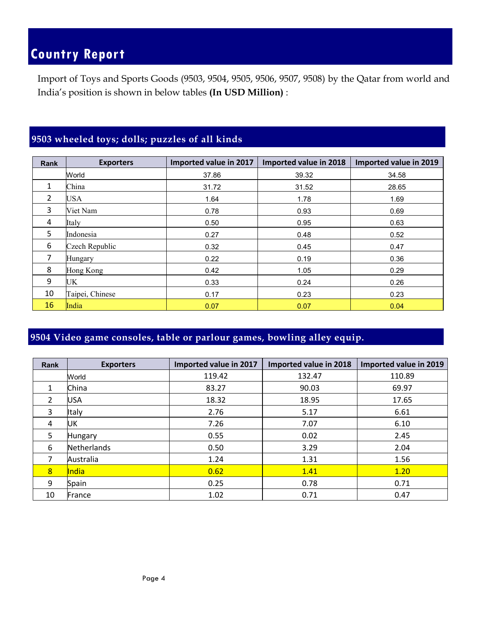Import of Toys and Sports Goods (9503, 9504, 9505, 9506, 9507, 9508) by the Qatar from world and India's position is shown in below tables **(In USD Million)** :

#### **9503 wheeled toys; dolls; puzzles of all kinds**

| <b>Rank</b>    | <b>Exporters</b> | Imported value in 2017 | Imported value in 2018 | Imported value in 2019 |
|----------------|------------------|------------------------|------------------------|------------------------|
|                | World            | 37.86                  | 39.32                  | 34.58                  |
| 1              | China            | 31.72                  | 31.52                  | 28.65                  |
| $\overline{2}$ | USA              | 1.64                   | 1.78                   | 1.69                   |
| 3              | Viet Nam         | 0.78                   | 0.93                   | 0.69                   |
| 4              | Italy            | 0.50                   | 0.95                   | 0.63                   |
| 5              | Indonesia        | 0.27                   | 0.48                   | 0.52                   |
| 6              | Czech Republic   | 0.32                   | 0.45                   | 0.47                   |
| 7              | Hungary          | 0.22                   | 0.19                   | 0.36                   |
| 8              | Hong Kong        | 0.42                   | 1.05                   | 0.29                   |
| 9              | UK               | 0.33                   | 0.24                   | 0.26                   |
| 10             | Taipei, Chinese  | 0.17                   | 0.23                   | 0.23                   |
| 16             | India            | 0.07                   | 0.07                   | 0.04                   |

#### **9504 Video game consoles, table or parlour games, bowling alley equip.**

| <b>Rank</b> | <b>Exporters</b> | Imported value in 2017 | Imported value in 2018 | Imported value in 2019 |
|-------------|------------------|------------------------|------------------------|------------------------|
|             | World            | 119.42                 | 132.47                 | 110.89                 |
| 1           | China            | 83.27                  | 90.03                  | 69.97                  |
| 2           | USA              | 18.32                  | 18.95                  | 17.65                  |
| 3           | Italy            | 2.76                   | 5.17                   | 6.61                   |
| 4           | UK               | 7.26                   | 7.07                   | 6.10                   |
| 5           | <b>Hungary</b>   | 0.55                   | 0.02                   | 2.45                   |
| 6           | Netherlands      | 0.50                   | 3.29                   | 2.04                   |
| 7           | Australia        | 1.24                   | 1.31                   | 1.56                   |
| 8           | <b>India</b>     | 0.62                   | 1.41                   | 1.20                   |
| 9           | Spain            | 0.25                   | 0.78                   | 0.71                   |
| 10          | France           | 1.02                   | 0.71                   | 0.47                   |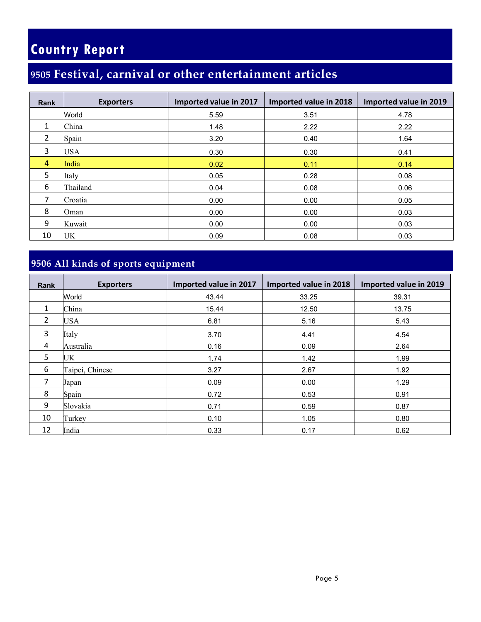### **Festival, carnival or other entertainment articles**

| <b>Rank</b>    | <b>Exporters</b> | Imported value in 2017 | Imported value in 2018 | Imported value in 2019 |
|----------------|------------------|------------------------|------------------------|------------------------|
|                | World            | 5.59                   | 3.51                   | 4.78                   |
| 1              | China            | 1.48                   | 2.22                   | 2.22                   |
| $\overline{2}$ | Spain            | 3.20                   | 0.40                   | 1.64                   |
| 3              | <b>USA</b>       | 0.30                   | 0.30                   | 0.41                   |
| $\overline{4}$ | India            | 0.02                   | 0.11                   | 0.14                   |
| 5              | Italy            | 0.05                   | 0.28                   | 0.08                   |
| 6              | Thailand         | 0.04                   | 0.08                   | 0.06                   |
| 7              | Croatia          | 0.00                   | 0.00                   | 0.05                   |
| 8              | Oman             | 0.00                   | 0.00                   | 0.03                   |
| 9              | Kuwait           | 0.00                   | 0.00                   | 0.03                   |
| 10             | UK               | 0.09                   | 0.08                   | 0.03                   |

### **9506 All kinds of sports equipment**

| <b>Rank</b>    | <b>Exporters</b> | Imported value in 2017 | Imported value in 2018 | Imported value in 2019 |
|----------------|------------------|------------------------|------------------------|------------------------|
|                | World            | 43.44                  | 33.25                  | 39.31                  |
| 1              | China            | 15.44                  | 12.50                  | 13.75                  |
| $\overline{2}$ | <b>USA</b>       | 6.81                   | 5.16                   | 5.43                   |
| 3              | Italy            | 3.70                   | 4.41                   | 4.54                   |
| 4              | Australia        | 0.16                   | 0.09                   | 2.64                   |
| 5              | UK               | 1.74                   | 1.42                   | 1.99                   |
| 6              | Taipei, Chinese  | 3.27                   | 2.67                   | 1.92                   |
| 7              | Japan            | 0.09                   | 0.00                   | 1.29                   |
| 8              | Spain            | 0.72                   | 0.53                   | 0.91                   |
| 9              | Slovakia         | 0.71                   | 0.59                   | 0.87                   |
| 10             | Turkey           | 0.10                   | 1.05                   | 0.80                   |
| 12             | India            | 0.33                   | 0.17                   | 0.62                   |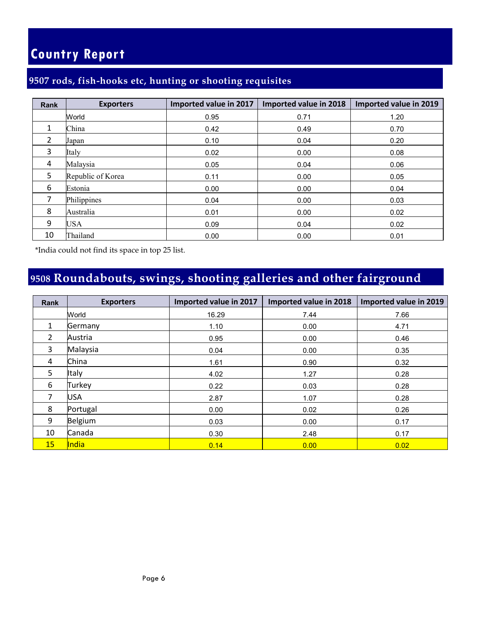#### **9507 rods, fish-hooks etc, hunting or shooting requisites**

| <b>Rank</b>   | <b>Exporters</b>  | Imported value in 2017 | Imported value in 2018 | Imported value in 2019 |
|---------------|-------------------|------------------------|------------------------|------------------------|
|               | World             | 0.95                   | 0.71                   | 1.20                   |
| 1             | China             | 0.42                   | 0.49                   | 0.70                   |
| $\mathcal{P}$ | Japan             | 0.10                   | 0.04                   | 0.20                   |
| 3             | Italy             | 0.02                   | 0.00                   | 0.08                   |
| 4             | Malaysia          | 0.05                   | 0.04                   | 0.06                   |
| 5             | Republic of Korea | 0.11                   | 0.00                   | 0.05                   |
| 6             | Estonia           | 0.00                   | 0.00                   | 0.04                   |
| 7             | Philippines       | 0.04                   | 0.00                   | 0.03                   |
| 8             | Australia         | 0.01                   | 0.00                   | 0.02                   |
| 9             | USA               | 0.09                   | 0.04                   | 0.02                   |
| 10            | Thailand          | 0.00                   | 0.00                   | 0.01                   |

\*India could not find its space in top 25 list.

### **Roundabouts, swings, shooting galleries and other fairground**

| Rank           | <b>Exporters</b> | Imported value in 2017 | Imported value in 2018 | Imported value in 2019 |
|----------------|------------------|------------------------|------------------------|------------------------|
|                | World            | 16.29                  | 7.44                   | 7.66                   |
| $\mathbf{1}$   | Germany          | 1.10                   | 0.00                   | 4.71                   |
| $\overline{2}$ | Austria          | 0.95                   | 0.00                   | 0.46                   |
| 3              | Malaysia         | 0.04                   | 0.00                   | 0.35                   |
| 4              | China            | 1.61                   | 0.90                   | 0.32                   |
| 5              | Italy            | 4.02                   | 1.27                   | 0.28                   |
| 6              | Turkey           | 0.22                   | 0.03                   | 0.28                   |
| 7              | <b>USA</b>       | 2.87                   | 1.07                   | 0.28                   |
| 8              | Portugal         | 0.00                   | 0.02                   | 0.26                   |
| 9              | Belgium          | 0.03                   | 0.00                   | 0.17                   |
| 10             | Canada           | 0.30                   | 2.48                   | 0.17                   |
| 15             | <b>India</b>     | 0.14                   | 0.00                   | 0.02                   |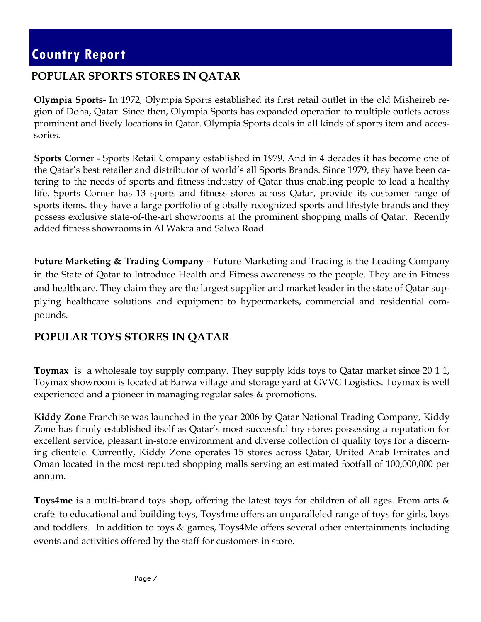#### **POPULAR SPORTS STORES IN QATAR**

**Olympia Sports-** In 1972, Olympia Sports established its first retail outlet in the old Misheireb region of Doha, Qatar. Since then, Olympia Sports has expanded operation to multiple outlets across prominent and lively locations in Qatar. Olympia Sports deals in all kinds of sports item and accessories.

**Sports Corner** - Sports Retail Company established in 1979. And in 4 decades it has become one of the Qatar's best retailer and distributor of world's all Sports Brands. Since 1979, they have been catering to the needs of sports and fitness industry of Qatar thus enabling people to lead a healthy life. Sports Corner has 13 sports and fitness stores across Qatar, provide its customer range of sports items. they have a large portfolio of globally recognized sports and lifestyle brands and they possess exclusive state-of-the-art showrooms at the prominent shopping malls of Qatar. Recently added fitness showrooms in Al Wakra and Salwa Road.

**Future Marketing & Trading Company** - Future Marketing and Trading is the Leading Company in the State of Qatar to Introduce Health and Fitness awareness to the people. They are in Fitness and healthcare. They claim they are the largest supplier and market leader in the state of Qatar supplying healthcare solutions and equipment to hypermarkets, commercial and residential compounds.

#### **POPULAR TOYS STORES IN QATAR**

**Toymax** is a wholesale toy supply company. They supply kids toys to Qatar market since 20 1 1, Toymax showroom is located at Barwa village and storage yard at GVVC Logistics. Toymax is well experienced and a pioneer in managing regular sales & promotions.

**Kiddy Zone** Franchise was launched in the year 2006 by Qatar National Trading Company, Kiddy Zone has firmly established itself as Qatar's most successful toy stores possessing a reputation for excellent service, pleasant in-store environment and diverse collection of quality toys for a discerning clientele. Currently, Kiddy Zone operates 15 stores across Qatar, United Arab Emirates and Oman located in the most reputed shopping malls serving an estimated footfall of 100,000,000 per annum.

**Toys4me** is a multi-brand toys shop, offering the latest toys for children of all ages. From arts & crafts to educational and building toys, Toys4me offers an unparalleled range of toys for girls, boys and toddlers. In addition to toys & games, Toys4Me offers several other entertainments including events and activities offered by the staff for customers in store.